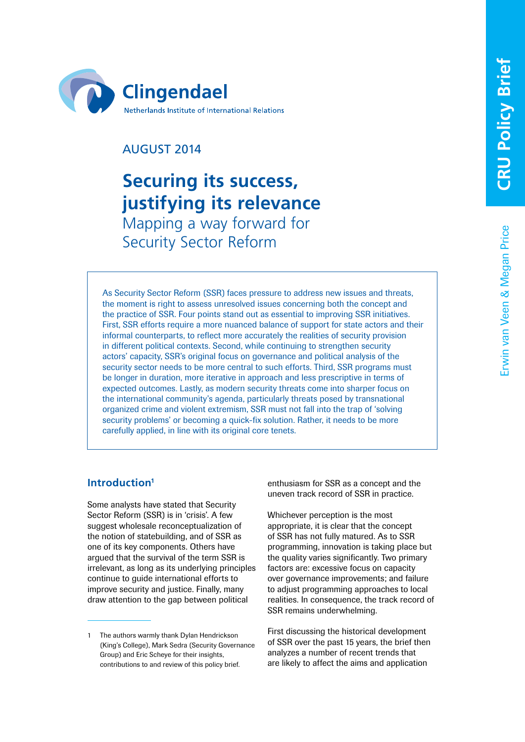

## AUGUST 2014

# **Securing its success, justifying its relevance** Mapping a way forward for Security Sector Reform

As Security Sector Reform (SSR) faces pressure to address new issues and threats, the moment is right to assess unresolved issues concerning both the concept and the practice of SSR. Four points stand out as essential to improving SSR initiatives. First, SSR efforts require a more nuanced balance of support for state actors and their informal counterparts, to reflect more accurately the realities of security provision in different political contexts. Second, while continuing to strengthen security actors' capacity, SSR's original focus on governance and political analysis of the security sector needs to be more central to such efforts. Third, SSR programs must be longer in duration, more iterative in approach and less prescriptive in terms of expected outcomes. Lastly, as modern security threats come into sharper focus on the international community's agenda, particularly threats posed by transnational organized crime and violent extremism, SSR must not fall into the trap of 'solving security problems' or becoming a quick-fix solution. Rather, it needs to be more carefully applied, in line with its original core tenets.

## **Introduction1**

Some analysts have stated that Security Sector Reform (SSR) is in 'crisis'. A few suggest wholesale reconceptualization of the notion of statebuilding, and of SSR as one of its key components. Others have argued that the survival of the term SSR is irrelevant, as long as its underlying principles continue to guide international efforts to improve security and justice. Finally, many draw attention to the gap between political

enthusiasm for SSR as a concept and the uneven track record of SSR in practice.

Whichever perception is the most appropriate, it is clear that the concept of SSR has not fully matured. As to SSR programming, innovation is taking place but the quality varies significantly. Two primary factors are: excessive focus on capacity over governance improvements; and failure to adjust programming approaches to local realities. In consequence, the track record of SSR remains underwhelming.

First discussing the historical development of SSR over the past 15 years, the brief then analyzes a number of recent trends that are likely to affect the aims and application

The authors warmly thank Dylan Hendrickson (King's College), Mark Sedra (Security Governance Group) and Eric Scheye for their insights, contributions to and review of this policy brief.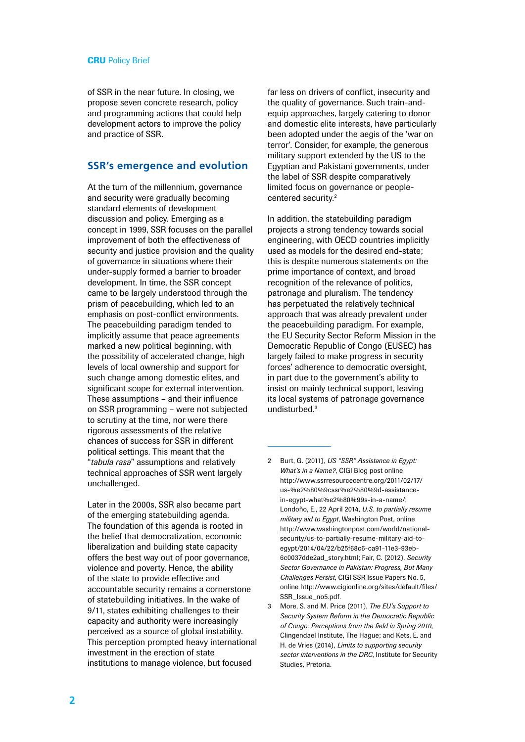of SSR in the near future. In closing, we propose seven concrete research, policy and programming actions that could help development actors to improve the policy and practice of SSR.

#### **SSR's emergence and evolution**

At the turn of the millennium, governance and security were gradually becoming standard elements of development discussion and policy. Emerging as a concept in 1999, SSR focuses on the parallel improvement of both the effectiveness of security and justice provision and the quality of governance in situations where their under-supply formed a barrier to broader development. In time, the SSR concept came to be largely understood through the prism of peacebuilding, which led to an emphasis on post-conflict environments. The peacebuilding paradigm tended to implicitly assume that peace agreements marked a new political beginning, with the possibility of accelerated change, high levels of local ownership and support for such change among domestic elites, and significant scope for external intervention. These assumptions – and their influence on SSR programming – were not subjected to scrutiny at the time, nor were there rigorous assessments of the relative chances of success for SSR in different political settings. This meant that the "*tabula rasa*" assumptions and relatively technical approaches of SSR went largely unchallenged.

Later in the 2000s, SSR also became part of the emerging statebuilding agenda. The foundation of this agenda is rooted in the belief that democratization, economic liberalization and building state capacity offers the best way out of poor governance, violence and poverty. Hence, the ability of the state to provide effective and accountable security remains a cornerstone of statebuilding initiatives. In the wake of 9/11, states exhibiting challenges to their capacity and authority were increasingly perceived as a source of global instability. This perception prompted heavy international investment in the erection of state institutions to manage violence, but focused

far less on drivers of conflict, insecurity and the quality of governance. Such train-andequip approaches, largely catering to donor and domestic elite interests, have particularly been adopted under the aegis of the 'war on terror'. Consider, for example, the generous military support extended by the US to the Egyptian and Pakistani governments, under the label of SSR despite comparatively limited focus on governance or peoplecentered security.2

In addition, the statebuilding paradigm projects a strong tendency towards social engineering, with OECD countries implicitly used as models for the desired end-state; this is despite numerous statements on the prime importance of context, and broad recognition of the relevance of politics, patronage and pluralism. The tendency has perpetuated the relatively technical approach that was already prevalent under the peacebuilding paradigm. For example, the EU Security Sector Reform Mission in the Democratic Republic of Congo (EUSEC) has largely failed to make progress in security forces' adherence to democratic oversight, in part due to the government's ability to insist on mainly technical support, leaving its local systems of patronage governance undisturbed.<sup>3</sup>

- 2 Burt, G. (2011), *US "SSR" Assistance in Egypt: What's in a Name?*, CIGI Blog post online [http://www.ssrresourcecentre.org/2011/02/17/](http://www.ssrresourcecentre.org/2011/02/17/us-%e2%80%9cssr%e2%80%9d-assistance-in-egypt-what%e2%80%99s-in-a-name/) [us-%e2%80%9cssr%e2%80%9d-assistance](http://www.ssrresourcecentre.org/2011/02/17/us-%e2%80%9cssr%e2%80%9d-assistance-in-egypt-what%e2%80%99s-in-a-name/)[in-egypt-what%e2%80%99s-in-a-name/](http://www.ssrresourcecentre.org/2011/02/17/us-%e2%80%9cssr%e2%80%9d-assistance-in-egypt-what%e2%80%99s-in-a-name/); Londoño, E., 22 April 2014, *U.S. to partially resume military aid to Egypt*, Washington Post, online [http://www.washingtonpost.com/world/national](http://www.washingtonpost.com/world/national-security/us-to-partially-resume-military-aid-to-egypt/2014/04/22/b25f68c6-ca91-11e3-93eb-6c0037dde2ad_story.html)[security/us-to-partially-resume-military-aid-to](http://www.washingtonpost.com/world/national-security/us-to-partially-resume-military-aid-to-egypt/2014/04/22/b25f68c6-ca91-11e3-93eb-6c0037dde2ad_story.html)[egypt/2014/04/22/b25f68c6-ca91-11e3-93eb-](http://www.washingtonpost.com/world/national-security/us-to-partially-resume-military-aid-to-egypt/2014/04/22/b25f68c6-ca91-11e3-93eb-6c0037dde2ad_story.html)[6c0037dde2ad\\_story.html;](http://www.washingtonpost.com/world/national-security/us-to-partially-resume-military-aid-to-egypt/2014/04/22/b25f68c6-ca91-11e3-93eb-6c0037dde2ad_story.html) Fair, C. (2012), *Security Sector Governance in Pakistan: Progress, But Many Challenges Persist*, CIGI SSR Issue Papers No. 5, online [http://www.cigionline.org/sites/default/files/](http://www.cigionline.org/sites/default/files/SSR_Issue_no5.pdf) [SSR\\_Issue\\_no5.pdf](http://www.cigionline.org/sites/default/files/SSR_Issue_no5.pdf).
- 3 More, S. and M. Price (2011), *The EU's Support to Security System Reform in the Democratic Republic of Congo: Perceptions from the field in Spring 2010*, Clingendael Institute, The Hague; and Kets, E. and H. de Vries (2014), *Limits to supporting security sector interventions in the DRC*, Institute for Security Studies, Pretoria.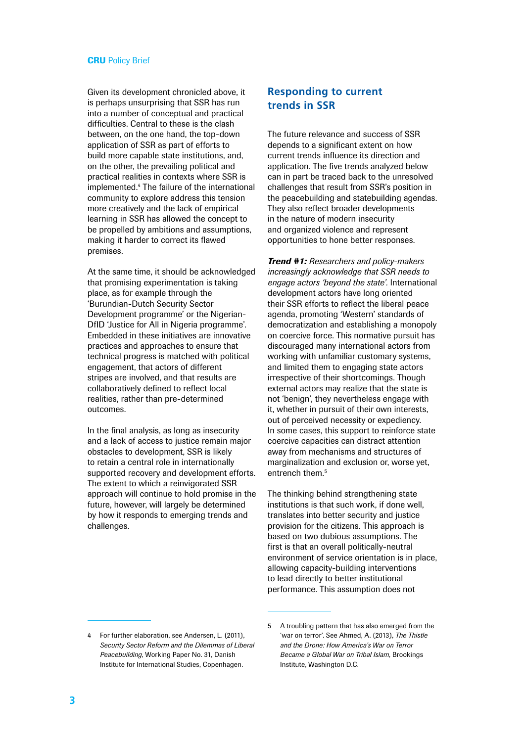Given its development chronicled above, it is perhaps unsurprising that SSR has run into a number of conceptual and practical difficulties. Central to these is the clash between, on the one hand, the top-down application of SSR as part of efforts to build more capable state institutions, and, on the other, the prevailing political and practical realities in contexts where SSR is implemented.4 The failure of the international community to explore address this tension more creatively and the lack of empirical learning in SSR has allowed the concept to be propelled by ambitions and assumptions, making it harder to correct its flawed premises.

At the same time, it should be acknowledged that promising experimentation is taking place, as for example through the 'Burundian-Dutch Security Sector Development programme' or the Nigerian-DfID 'Justice for All in Nigeria programme'. Embedded in these initiatives are innovative practices and approaches to ensure that technical progress is matched with political engagement, that actors of different stripes are involved, and that results are collaboratively defined to reflect local realities, rather than pre-determined outcomes.

In the final analysis, as long as insecurity and a lack of access to justice remain major obstacles to development, SSR is likely to retain a central role in internationally supported recovery and development efforts. The extent to which a reinvigorated SSR approach will continue to hold promise in the future, however, will largely be determined by how it responds to emerging trends and challenges.

## **Responding to current trends in SSR**

The future relevance and success of SSR depends to a significant extent on how current trends influence its direction and application. The five trends analyzed below can in part be traced back to the unresolved challenges that result from SSR's position in the peacebuilding and statebuilding agendas. They also reflect broader developments in the nature of modern insecurity and organized violence and represent opportunities to hone better responses.

*Trend #1: Researchers and policy-makers increasingly acknowledge that SSR needs to engage actors 'beyond the state'.* International development actors have long oriented their SSR efforts to reflect the liberal peace agenda, promoting 'Western' standards of democratization and establishing a monopoly on coercive force. This normative pursuit has discouraged many international actors from working with unfamiliar customary systems, and limited them to engaging state actors irrespective of their shortcomings. Though external actors may realize that the state is not 'benign', they nevertheless engage with it, whether in pursuit of their own interests, out of perceived necessity or expediency. In some cases, this support to reinforce state coercive capacities can distract attention away from mechanisms and structures of marginalization and exclusion or, worse yet, entrench them.<sup>5</sup>

The thinking behind strengthening state institutions is that such work, if done well, translates into better security and justice provision for the citizens. This approach is based on two dubious assumptions. The first is that an overall politically-neutral environment of service orientation is in place, allowing capacity-building interventions to lead directly to better institutional performance. This assumption does not

<sup>4</sup> For further elaboration, see Andersen, L. (2011), *Security Sector Reform and the Dilemmas of Liberal Peacebuilding*, Working Paper No. 31, Danish Institute for International Studies, Copenhagen.

<sup>5</sup> A troubling pattern that has also emerged from the 'war on terror'. See Ahmed, A. (2013), *The Thistle and the Drone: How America's War on Terror Became a Global War on Tribal Islam*, Brookings Institute, Washington D.C.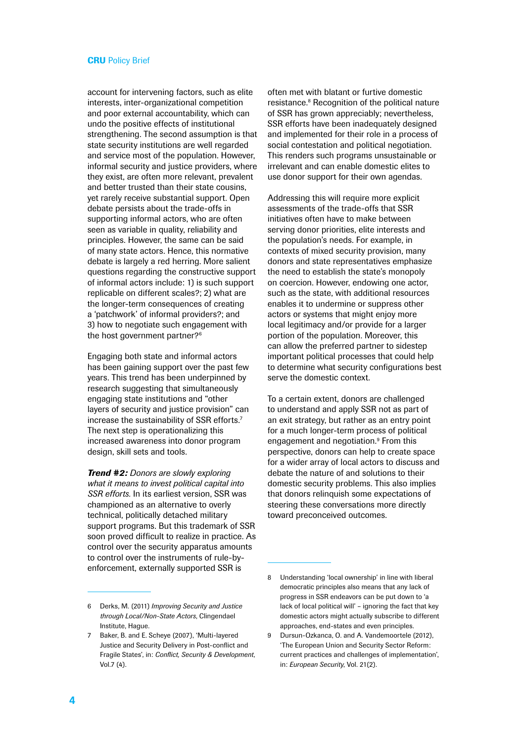account for intervening factors, such as elite interests, inter-organizational competition and poor external accountability, which can undo the positive effects of institutional strengthening. The second assumption is that state security institutions are well regarded and service most of the population. However, informal security and justice providers, where they exist, are often more relevant, prevalent and better trusted than their state cousins, yet rarely receive substantial support. Open debate persists about the trade-offs in supporting informal actors, who are often seen as variable in quality, reliability and principles. However, the same can be said of many state actors. Hence, this normative debate is largely a red herring. More salient questions regarding the constructive support of informal actors include: 1) is such support replicable on different scales?; 2) what are the longer-term consequences of creating a 'patchwork' of informal providers?; and 3) how to negotiate such engagement with the host government partner?<sup>6</sup>

Engaging both state and informal actors has been gaining support over the past few years. This trend has been underpinned by research suggesting that simultaneously engaging state institutions and "other layers of security and justice provision" can increase the sustainability of SSR efforts.7 The next step is operationalizing this increased awareness into donor program design, skill sets and tools.

*Trend #2: Donors are slowly exploring what it means to invest political capital into SSR efforts.* In its earliest version, SSR was championed as an alternative to overly technical, politically detached military support programs. But this trademark of SSR soon proved difficult to realize in practice. As control over the security apparatus amounts to control over the instruments of rule-byenforcement, externally supported SSR is

6 Derks, M. (2011) *Improving Security and Justice through Local/Non-State Actors*, Clingendael Institute, Hague.

often met with blatant or furtive domestic resistance.<sup>8</sup> Recognition of the political nature of SSR has grown appreciably; nevertheless, SSR efforts have been inadequately designed and implemented for their role in a process of social contestation and political negotiation. This renders such programs unsustainable or irrelevant and can enable domestic elites to use donor support for their own agendas.

Addressing this will require more explicit assessments of the trade-offs that SSR initiatives often have to make between serving donor priorities, elite interests and the population's needs. For example, in contexts of mixed security provision, many donors and state representatives emphasize the need to establish the state's monopoly on coercion. However, endowing one actor, such as the state, with additional resources enables it to undermine or suppress other actors or systems that might enjoy more local legitimacy and/or provide for a larger portion of the population. Moreover, this can allow the preferred partner to sidestep important political processes that could help to determine what security configurations best serve the domestic context.

To a certain extent, donors are challenged to understand and apply SSR not as part of an exit strategy, but rather as an entry point for a much longer-term process of political engagement and negotiation.<sup>9</sup> From this perspective, donors can help to create space for a wider array of local actors to discuss and debate the nature of and solutions to their domestic security problems. This also implies that donors relinquish some expectations of steering these conversations more directly toward preconceived outcomes.

<sup>7</sup> Baker, B. and E. Scheye (2007), 'Multi-layered Justice and Security Delivery in Post-conflict and Fragile States', in: *Conflict, Security & Development*, Vol.7 (4).

<sup>8</sup> Understanding 'local ownership' in line with liberal democratic principles also means that any lack of progress in SSR endeavors can be put down to 'a lack of local political will' – ignoring the fact that key domestic actors might actually subscribe to different approaches, end-states and even principles.

<sup>9</sup> Dursun-Ozkanca, O. and A. Vandemoortele (2012), 'The European Union and Security Sector Reform: current practices and challenges of implementation', in: *European Security*, Vol. 21(2).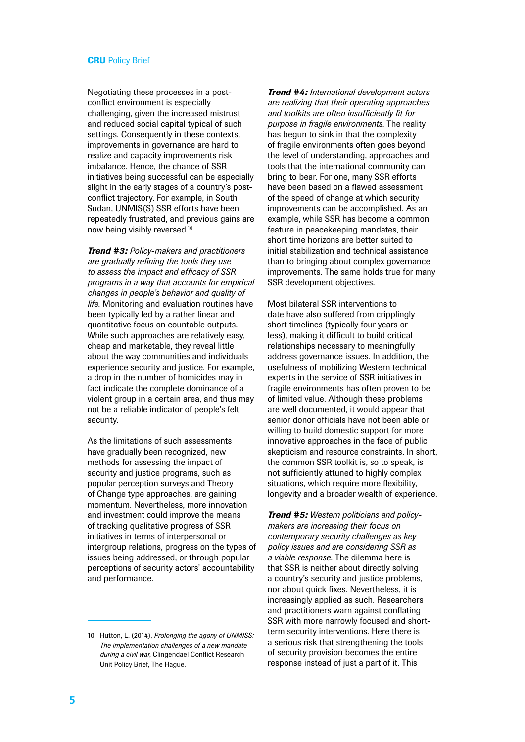Negotiating these processes in a postconflict environment is especially challenging, given the increased mistrust and reduced social capital typical of such settings. Consequently in these contexts, improvements in governance are hard to realize and capacity improvements risk imbalance. Hence, the chance of SSR initiatives being successful can be especially slight in the early stages of a country's postconflict trajectory. For example, in South Sudan, UNMIS(S) SSR efforts have been repeatedly frustrated, and previous gains are now being visibly reversed.10

*Trend #3: Policy-makers and practitioners are gradually refining the tools they use to assess the impact and efficacy of SSR programs in a way that accounts for empirical changes in people's behavior and quality of life.* Monitoring and evaluation routines have been typically led by a rather linear and quantitative focus on countable outputs. While such approaches are relatively easy, cheap and marketable, they reveal little about the way communities and individuals experience security and justice. For example, a drop in the number of homicides may in fact indicate the complete dominance of a violent group in a certain area, and thus may not be a reliable indicator of people's felt security.

As the limitations of such assessments have gradually been recognized, new methods for assessing the impact of security and justice programs, such as popular perception surveys and Theory of Change type approaches, are gaining momentum. Nevertheless, more innovation and investment could improve the means of tracking qualitative progress of SSR initiatives in terms of interpersonal or intergroup relations, progress on the types of issues being addressed, or through popular perceptions of security actors' accountability and performance.

*Trend #4: International development actors are realizing that their operating approaches and toolkits are often insufficiently fit for purpose in fragile environments.* The reality has begun to sink in that the complexity of fragile environments often goes beyond the level of understanding, approaches and tools that the international community can bring to bear. For one, many SSR efforts have been based on a flawed assessment of the speed of change at which security improvements can be accomplished. As an example, while SSR has become a common feature in peacekeeping mandates, their short time horizons are better suited to initial stabilization and technical assistance than to bringing about complex governance improvements. The same holds true for many SSR development objectives.

Most bilateral SSR interventions to date have also suffered from cripplingly short timelines (typically four years or less), making it difficult to build critical relationships necessary to meaningfully address governance issues. In addition, the usefulness of mobilizing Western technical experts in the service of SSR initiatives in fragile environments has often proven to be of limited value. Although these problems are well documented, it would appear that senior donor officials have not been able or willing to build domestic support for more innovative approaches in the face of public skepticism and resource constraints. In short, the common SSR toolkit is, so to speak, is not sufficiently attuned to highly complex situations, which require more flexibility. longevity and a broader wealth of experience.

*Trend #5: Western politicians and policymakers are increasing their focus on contemporary security challenges as key policy issues and are considering SSR as a viable response.* The dilemma here is that SSR is neither about directly solving a country's security and justice problems, nor about quick fixes. Nevertheless, it is increasingly applied as such. Researchers and practitioners warn against conflating SSR with more narrowly focused and shortterm security interventions. Here there is a serious risk that strengthening the tools of security provision becomes the entire response instead of just a part of it. This

<sup>10</sup> Hutton, L. (2014), *Prolonging the agony of UNMISS: The implementation challenges of a new mandate during a civil war*, Clingendael Conflict Research Unit Policy Brief, The Hague.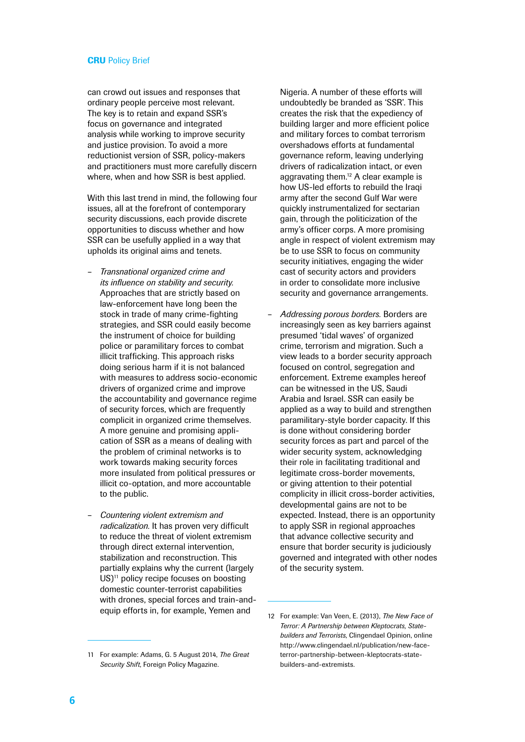can crowd out issues and responses that ordinary people perceive most relevant. The key is to retain and expand SSR's focus on governance and integrated analysis while working to improve security and justice provision. To avoid a more reductionist version of SSR, policy-makers and practitioners must more carefully discern where, when and how SSR is best applied.

With this last trend in mind, the following four issues, all at the forefront of contemporary security discussions, each provide discrete opportunities to discuss whether and how SSR can be usefully applied in a way that upholds its original aims and tenets.

- *Transnational organized crime and its influence on stability and security.* Approaches that are strictly based on law-enforcement have long been the stock in trade of many crime-fighting strategies, and SSR could easily become the instrument of choice for building police or paramilitary forces to combat illicit trafficking. This approach risks doing serious harm if it is not balanced with measures to address socio-economic drivers of organized crime and improve the accountability and governance regime of security forces, which are frequently complicit in organized crime themselves. A more genuine and promising application of SSR as a means of dealing with the problem of criminal networks is to work towards making security forces more insulated from political pressures or illicit co-optation, and more accountable to the public.
- *Countering violent extremism and radicalization.* It has proven very difficult to reduce the threat of violent extremism through direct external intervention. stabilization and reconstruction. This partially explains why the current (largely US)<sup>11</sup> policy recipe focuses on boosting domestic counter-terrorist capabilities with drones, special forces and train-andequip efforts in, for example, Yemen and

Nigeria. A number of these efforts will undoubtedly be branded as 'SSR'. This creates the risk that the expediency of building larger and more efficient police and military forces to combat terrorism overshadows efforts at fundamental governance reform, leaving underlying drivers of radicalization intact, or even aggravating them.<sup>12</sup> A clear example is how US-led efforts to rebuild the Iraqi army after the second Gulf War were quickly instrumentalized for sectarian gain, through the politicization of the army's officer corps. A more promising angle in respect of violent extremism may be to use SSR to focus on community security initiatives, engaging the wider cast of security actors and providers in order to consolidate more inclusive security and governance arrangements.

– *Addressing porous borders.* Borders are increasingly seen as key barriers against presumed 'tidal waves' of organized crime, terrorism and migration. Such a view leads to a border security approach focused on control, segregation and enforcement. Extreme examples hereof can be witnessed in the US, Saudi Arabia and Israel. SSR can easily be applied as a way to build and strengthen paramilitary-style border capacity. If this is done without considering border security forces as part and parcel of the wider security system, acknowledging their role in facilitating traditional and legitimate cross-border movements, or giving attention to their potential complicity in illicit cross-border activities, developmental gains are not to be expected. Instead, there is an opportunity to apply SSR in regional approaches that advance collective security and ensure that border security is judiciously governed and integrated with other nodes of the security system.

<sup>11</sup> For example: Adams, G. 5 August 2014, *The Great Security Shift*, Foreign Policy Magazine.

<sup>12</sup> For example: Van Veen, E. (2013), *The New Face of Terror: A Partnership between Kleptocrats, Statebuilders and Terrorists*, Clingendael Opinion, online [http://www.clingendael.nl/publication/new-face](http://www.clingendael.nl/publication/new-face-terror-partnership-between-kleptocrats-state-builders-and-extremists)[terror-partnership-between-kleptocrats-state](http://www.clingendael.nl/publication/new-face-terror-partnership-between-kleptocrats-state-builders-and-extremists)[builders-and-extremists.](http://www.clingendael.nl/publication/new-face-terror-partnership-between-kleptocrats-state-builders-and-extremists)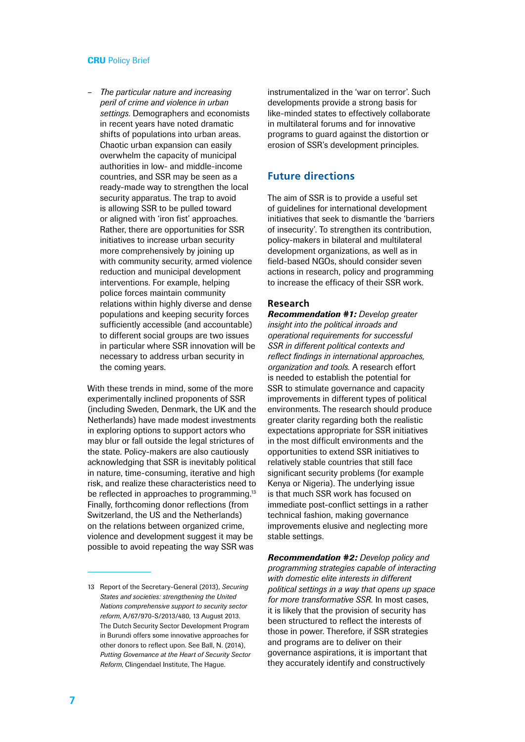– *The particular nature and increasing peril of crime and violence in urban settings.* Demographers and economists in recent years have noted dramatic shifts of populations into urban areas. Chaotic urban expansion can easily overwhelm the capacity of municipal authorities in low- and middle-income countries, and SSR may be seen as a ready-made way to strengthen the local security apparatus. The trap to avoid is allowing SSR to be pulled toward or aligned with 'iron fist' approaches. Rather, there are opportunities for SSR initiatives to increase urban security more comprehensively by joining up with community security, armed violence reduction and municipal development interventions. For example, helping police forces maintain community relations within highly diverse and dense populations and keeping security forces sufficiently accessible (and accountable) to different social groups are two issues in particular where SSR innovation will be necessary to address urban security in the coming years.

With these trends in mind, some of the more experimentally inclined proponents of SSR (including Sweden, Denmark, the UK and the Netherlands) have made modest investments in exploring options to support actors who may blur or fall outside the legal strictures of the state. Policy-makers are also cautiously acknowledging that SSR is inevitably political in nature, time-consuming, iterative and high risk, and realize these characteristics need to be reflected in approaches to programming.<sup>13</sup> Finally, forthcoming donor reflections (from Switzerland, the US and the Netherlands) on the relations between organized crime, violence and development suggest it may be possible to avoid repeating the way SSR was

instrumentalized in the 'war on terror'. Such developments provide a strong basis for like-minded states to effectively collaborate in multilateral forums and for innovative programs to guard against the distortion or erosion of SSR's development principles.

## **Future directions**

The aim of SSR is to provide a useful set of guidelines for international development initiatives that seek to dismantle the 'barriers of insecurity'. To strengthen its contribution, policy-makers in bilateral and multilateral development organizations, as well as in field-based NGOs, should consider seven actions in research, policy and programming to increase the efficacy of their SSR work.

#### **Research**

*Recommendation #1: Develop greater insight into the political inroads and operational requirements for successful SSR in different political contexts and reflect findings in international approaches, organization and tools.* A research effort is needed to establish the potential for SSR to stimulate governance and capacity improvements in different types of political environments. The research should produce greater clarity regarding both the realistic expectations appropriate for SSR initiatives in the most difficult environments and the opportunities to extend SSR initiatives to relatively stable countries that still face significant security problems (for example Kenya or Nigeria). The underlying issue is that much SSR work has focused on immediate post-conflict settings in a rather technical fashion, making governance improvements elusive and neglecting more stable settings.

*Recommendation #2: Develop policy and programming strategies capable of interacting with domestic elite interests in different political settings in a way that opens up space for more transformative SSR.* In most cases, it is likely that the provision of security has been structured to reflect the interests of those in power. Therefore, if SSR strategies and programs are to deliver on their governance aspirations, it is important that they accurately identify and constructively

<sup>13</sup> Report of the Secretary-General (2013), *Securing States and societies: strengthening the United Nations comprehensive support to security sector reform*, A/67/970-S/2013/480, 13 August 2013. The Dutch Security Sector Development Program in Burundi offers some innovative approaches for other donors to reflect upon. See Ball, N. (2014), *Putting Governance at the Heart of Security Sector Reform*, Clingendael Institute, The Hague.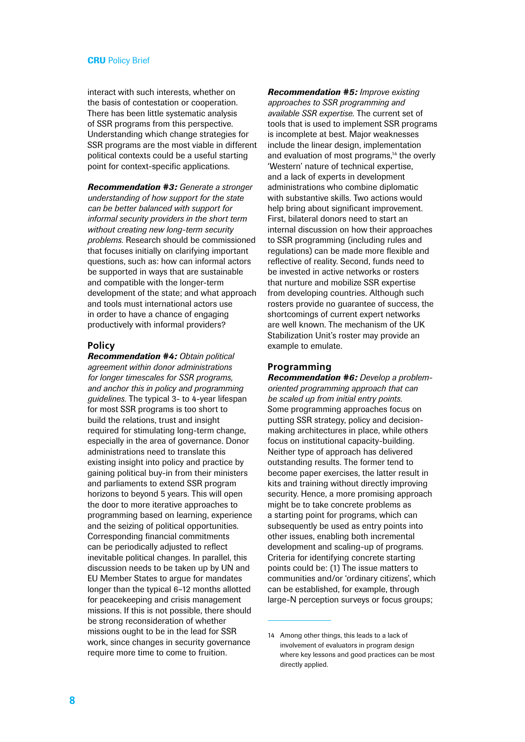interact with such interests, whether on the basis of contestation or cooperation. There has been little systematic analysis of SSR programs from this perspective. Understanding which change strategies for SSR programs are the most viable in different political contexts could be a useful starting point for context-specific applications.

*Recommendation #3: Generate a stronger understanding of how support for the state can be better balanced with support for informal security providers in the short term without creating new long-term security problems.* Research should be commissioned that focuses initially on clarifying important questions, such as: how can informal actors be supported in ways that are sustainable and compatible with the longer-term development of the state; and what approach and tools must international actors use in order to have a chance of engaging productively with informal providers?

#### **Policy**

*Recommendation #4: Obtain political agreement within donor administrations for longer timescales for SSR programs, and anchor this in policy and programming guidelines.* The typical 3- to 4-year lifespan for most SSR programs is too short to build the relations, trust and insight required for stimulating long-term change, especially in the area of governance. Donor administrations need to translate this existing insight into policy and practice by gaining political buy-in from their ministers and parliaments to extend SSR program horizons to beyond 5 years. This will open the door to more iterative approaches to programming based on learning, experience and the seizing of political opportunities. Corresponding financial commitments can be periodically adjusted to reflect inevitable political changes. In parallel, this discussion needs to be taken up by UN and EU Member States to argue for mandates longer than the typical 6–12 months allotted for peacekeeping and crisis management missions. If this is not possible, there should be strong reconsideration of whether missions ought to be in the lead for SSR work, since changes in security governance require more time to come to fruition.

*Recommendation #5: Improve existing approaches to SSR programming and available SSR expertise.* The current set of tools that is used to implement SSR programs is incomplete at best. Major weaknesses include the linear design, implementation and evaluation of most programs,<sup>14</sup> the overly 'Western' nature of technical expertise, and a lack of experts in development administrations who combine diplomatic with substantive skills. Two actions would help bring about significant improvement. First, bilateral donors need to start an internal discussion on how their approaches to SSR programming (including rules and regulations) can be made more flexible and reflective of reality. Second, funds need to be invested in active networks or rosters that nurture and mobilize SSR expertise from developing countries. Although such rosters provide no guarantee of success, the shortcomings of current expert networks are well known. The mechanism of the UK Stabilization Unit's roster may provide an example to emulate.

#### **Programming**

*Recommendation #6: Develop a problemoriented programming approach that can be scaled up from initial entry points.* Some programming approaches focus on putting SSR strategy, policy and decisionmaking architectures in place, while others focus on institutional capacity-building. Neither type of approach has delivered outstanding results. The former tend to become paper exercises, the latter result in kits and training without directly improving security. Hence, a more promising approach might be to take concrete problems as a starting point for programs, which can subsequently be used as entry points into other issues, enabling both incremental development and scaling-up of programs. Criteria for identifying concrete starting points could be: (1) The issue matters to communities and/or 'ordinary citizens', which can be established, for example, through large-N perception surveys or focus groups:

<sup>14</sup> Among other things, this leads to a lack of involvement of evaluators in program design where key lessons and good practices can be most directly applied.